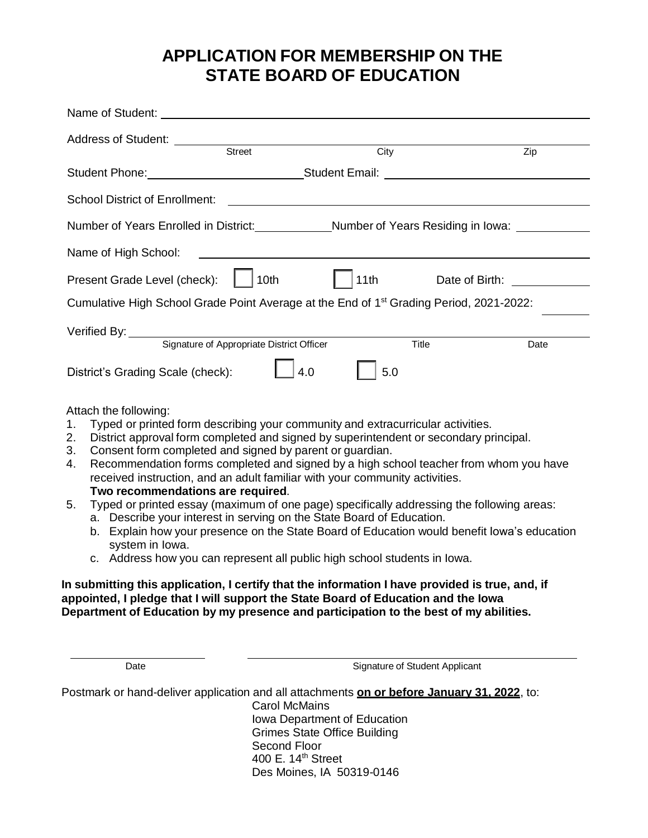# **APPLICATION FOR MEMBERSHIP ON THE STATE BOARD OF EDUCATION**

| Address of Student: Street                                                                                |                                                                                                                | $\overline{City}$ |                                                                 | Zip  |
|-----------------------------------------------------------------------------------------------------------|----------------------------------------------------------------------------------------------------------------|-------------------|-----------------------------------------------------------------|------|
|                                                                                                           | Student Phone: Note and Student Email: Note and Student Email: Note and Student Phone: Note and Student Phone: |                   |                                                                 |      |
| <b>School District of Enrollment:</b>                                                                     |                                                                                                                |                   | <u> 1989 - Jan Sterner Sterner, skrivatsk politik (d. 1989)</u> |      |
| Number of Years Enrolled in District: Number of Years Residing in Iowa: Number of Years Residing in Iowa: |                                                                                                                |                   |                                                                 |      |
| Name of High School:                                                                                      | <u> 1989 - Jan Barat, margaret eta idazlea (h. 1989).</u>                                                      |                   |                                                                 |      |
| Present Grade Level (check):                                                                              | 10th                                                                                                           |                   | 11th Date of Birth: 11th                                        |      |
| Cumulative High School Grade Point Average at the End of 1 <sup>st</sup> Grading Period, 2021-2022:       |                                                                                                                |                   |                                                                 |      |
|                                                                                                           |                                                                                                                |                   |                                                                 |      |
|                                                                                                           | Signature of Appropriate District Officer                                                                      |                   | Title                                                           | Date |
| District's Grading Scale (check):                                                                         | 4.0                                                                                                            | 5.0               |                                                                 |      |
| Attach the following:                                                                                     |                                                                                                                |                   |                                                                 |      |
| 1. Typed or printed form describing your community and extracurricular activities.                        |                                                                                                                |                   |                                                                 |      |
| 2. District approval form completed and signed by superintendent or secondary principal.<br>3.            | Consent form completed and signed by parent or guardian.                                                       |                   |                                                                 |      |

- 4. Recommendation forms completed and signed by a high school teacher from whom you have received instruction, and an adult familiar with your community activities.
	- **Two recommendations are required**.
- 5. Typed or printed essay (maximum of one page) specifically addressing the following areas:
	- a. Describe your interest in serving on the State Board of Education.
	- b. Explain how your presence on the State Board of Education would benefit Iowa's education system in Iowa.
	- c. Address how you can represent all public high school students in Iowa.

#### **In submitting this application, I certify that the information I have provided is true, and, if appointed, I pledge that I will support the State Board of Education and the Iowa Department of Education by my presence and participation to the best of my abilities.**

Date **Signature of Student Applicant** 

Postmark or hand-deliver application and all attachments **on or before January 31, 2022**, to: Carol McMains Iowa Department of Education Grimes State Office Building Second Floor 400 E. 14th Street

Des Moines, IA 50319-0146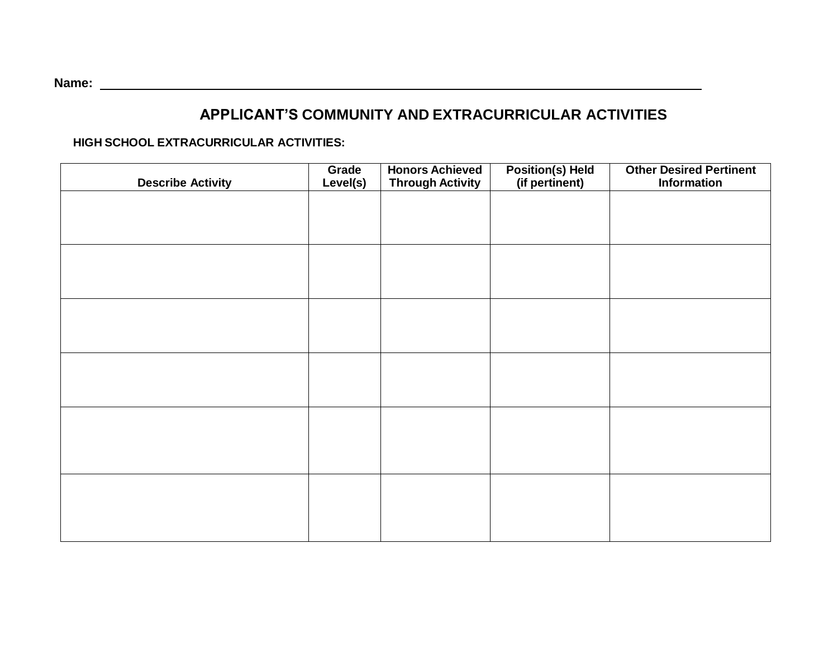### **APPLICANT'S COMMUNITY AND EXTRACURRICULAR ACTIVITIES**

**HIGH SCHOOL EXTRACURRICULAR ACTIVITIES:**

| <b>Describe Activity</b> | Grade<br>Level(s) | <b>Honors Achieved</b><br><b>Through Activity</b> | Position(s) Held<br>(if pertinent) | <b>Other Desired Pertinent</b><br><b>Information</b> |
|--------------------------|-------------------|---------------------------------------------------|------------------------------------|------------------------------------------------------|
|                          |                   |                                                   |                                    |                                                      |
|                          |                   |                                                   |                                    |                                                      |
|                          |                   |                                                   |                                    |                                                      |
|                          |                   |                                                   |                                    |                                                      |
|                          |                   |                                                   |                                    |                                                      |
|                          |                   |                                                   |                                    |                                                      |
|                          |                   |                                                   |                                    |                                                      |
|                          |                   |                                                   |                                    |                                                      |
|                          |                   |                                                   |                                    |                                                      |
|                          |                   |                                                   |                                    |                                                      |
|                          |                   |                                                   |                                    |                                                      |
|                          |                   |                                                   |                                    |                                                      |
|                          |                   |                                                   |                                    |                                                      |

**Name:**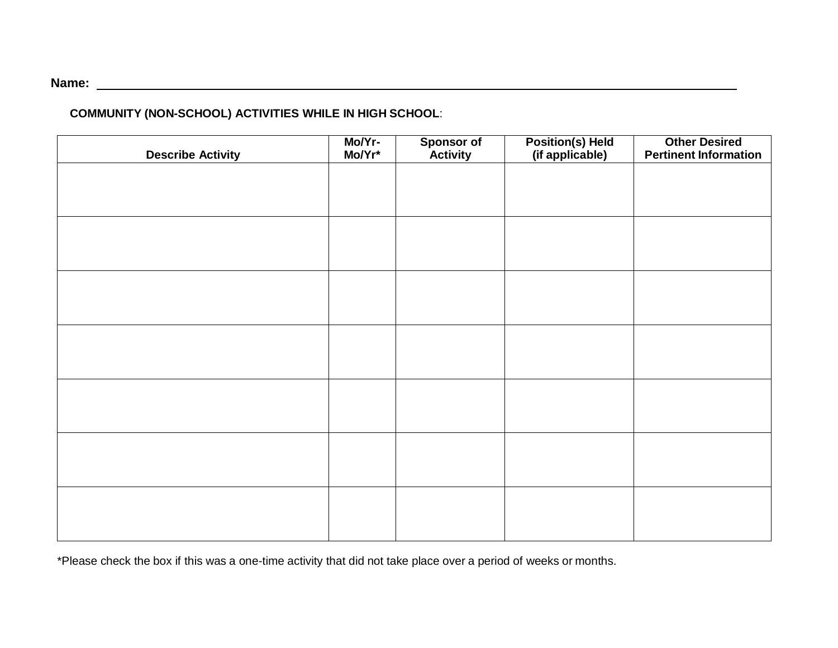## **Name:**

### **COMMUNITY (NON-SCHOOL) ACTIVITIES WHILE IN HIGH SCHOOL**:

| <b>Describe Activity</b> | Mo/Yr-<br>Mo/Yr* | <b>Sponsor of<br/>Activity</b> | Position(s) Held<br>(if applicable) | <b>Other Desired<br/>Pertinent Information</b> |
|--------------------------|------------------|--------------------------------|-------------------------------------|------------------------------------------------|
|                          |                  |                                |                                     |                                                |
|                          |                  |                                |                                     |                                                |
|                          |                  |                                |                                     |                                                |
|                          |                  |                                |                                     |                                                |
|                          |                  |                                |                                     |                                                |
|                          |                  |                                |                                     |                                                |
|                          |                  |                                |                                     |                                                |
|                          |                  |                                |                                     |                                                |
|                          |                  |                                |                                     |                                                |
|                          |                  |                                |                                     |                                                |
|                          |                  |                                |                                     |                                                |
|                          |                  |                                |                                     |                                                |
|                          |                  |                                |                                     |                                                |
|                          |                  |                                |                                     |                                                |

\*Please check the box if this was a one-time activity that did not take place over a period of weeks or months.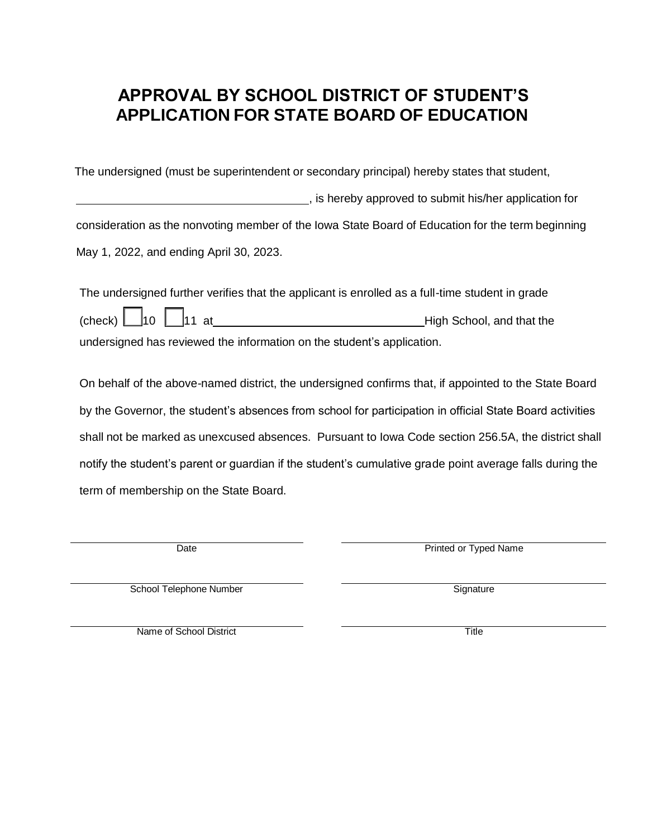## **APPROVAL BY SCHOOL DISTRICT OF STUDENT'S APPLICATION FOR STATE BOARD OF EDUCATION**

The undersigned (must be superintendent or secondary principal) hereby states that student,

 , is hereby approved to submit his/her application for consideration as the nonvoting member of the Iowa State Board of Education for the term beginning May 1, 2022, and ending April 30, 2023.

| The undersigned further verifies that the applicant is enrolled as a full-time student in grade |                           |  |  |  |
|-------------------------------------------------------------------------------------------------|---------------------------|--|--|--|
| (check) $\Box$ 10 $\Box$ 11 at                                                                  | High School, and that the |  |  |  |
| undersigned has reviewed the information on the student's application.                          |                           |  |  |  |

On behalf of the above-named district, the undersigned confirms that, if appointed to the State Board by the Governor, the student's absences from school for participation in official State Board activities shall not be marked as unexcused absences. Pursuant to Iowa Code section 256.5A, the district shall notify the student's parent or guardian if the student's cumulative grade point average falls during the term of membership on the State Board.

Date **Date Printed or Typed Name** 

School Telephone Number Signature Signature

Name of School District Title Title Title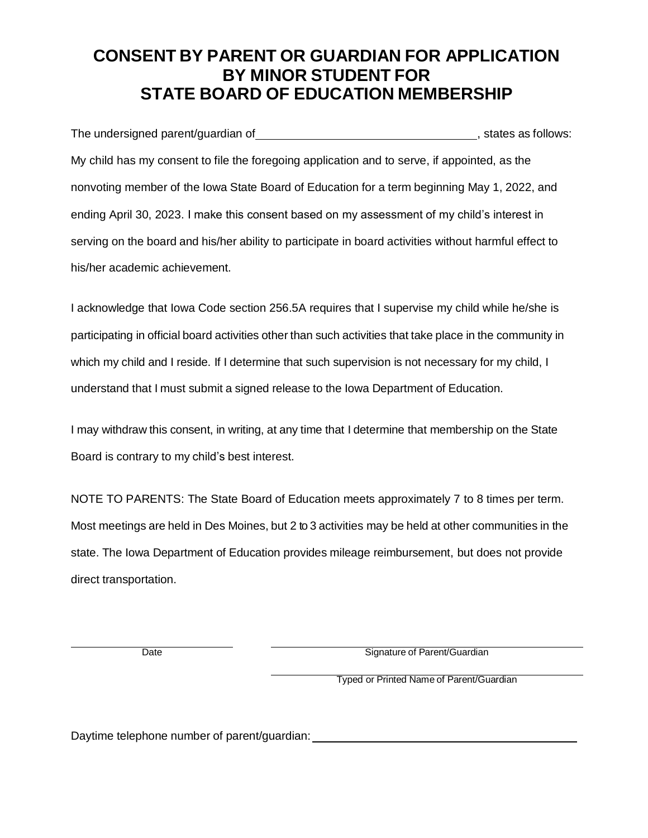## **CONSENT BY PARENT OR GUARDIAN FOR APPLICATION BY MINOR STUDENT FOR STATE BOARD OF EDUCATION MEMBERSHIP**

The undersigned parent/guardian of , states as follows: My child has my consent to file the foregoing application and to serve, if appointed, as the nonvoting member of the Iowa State Board of Education for a term beginning May 1, 2022, and ending April 30, 2023. I make this consent based on my assessment of my child's interest in serving on the board and his/her ability to participate in board activities without harmful effect to his/her academic achievement.

I acknowledge that Iowa Code section 256.5A requires that I supervise my child while he/she is participating in official board activities other than such activities that take place in the community in which my child and I reside. If I determine that such supervision is not necessary for my child, I understand that I must submit a signed release to the Iowa Department of Education.

I may withdraw this consent, in writing, at any time that I determine that membership on the State Board is contrary to my child's best interest.

NOTE TO PARENTS: The State Board of Education meets approximately 7 to 8 times per term. Most meetings are held in Des Moines, but 2 to 3 activities may be held at other communities in the state. The Iowa Department of Education provides mileage reimbursement, but does not provide direct transportation.

Date **Signature of Parent/Guardian** 

Typed or Printed Name of Parent/Guardian

Daytime telephone number of parent/guardian: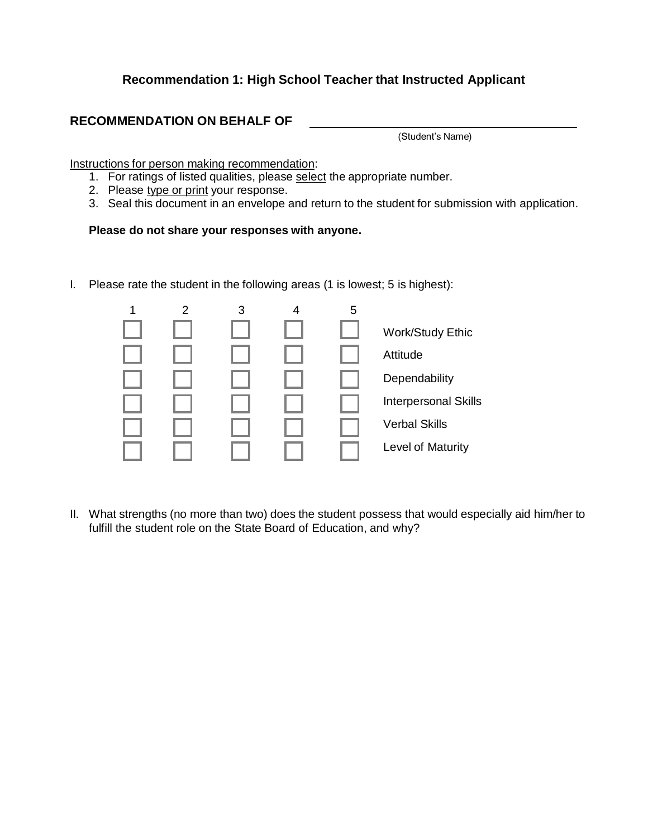#### **Recommendation 1: High School Teacher that Instructed Applicant**

#### **RECOMMENDATION ON BEHALF OF**

(Student's Name)

Instructions for person making recommendation:

- 1. For ratings of listed qualities, please select the appropriate number.
- 2. Please type or print your response.
- 3. Seal this document in an envelope and return to the student for submission with application.

#### **Please do not share your responses with anyone.**

I. Please rate the student in the following areas (1 is lowest; 5 is highest):



II. What strengths (no more than two) does the student possess that would especially aid him/her to fulfill the student role on the State Board of Education, and why?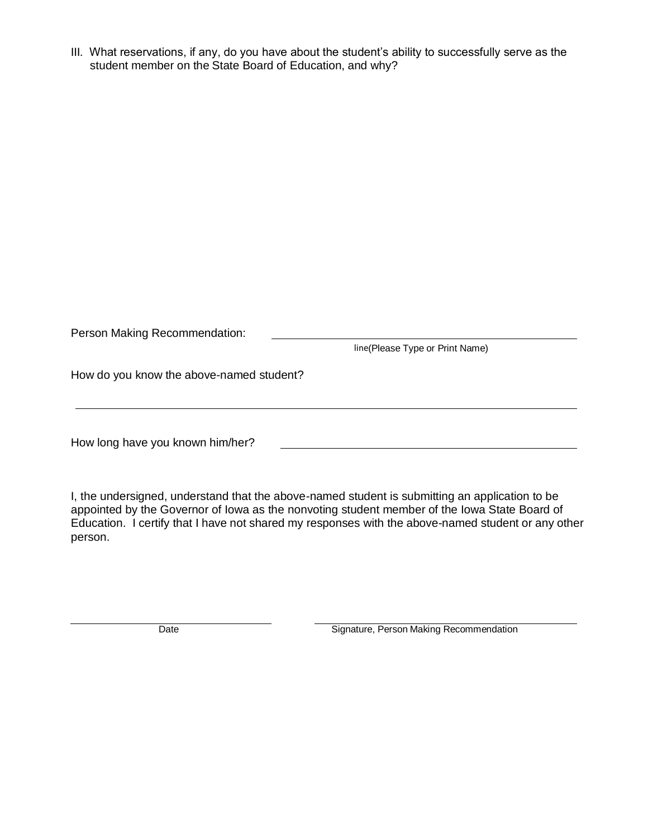III. What reservations, if any, do you have about the student's ability to successfully serve as the student member on the State Board of Education, and why?

| Person Making Recommendation:            | line(Please Type or Print Name) |  |  |
|------------------------------------------|---------------------------------|--|--|
| How do you know the above-named student? |                                 |  |  |
| How long have you known him/her?         |                                 |  |  |

I, the undersigned, understand that the above-named student is submitting an application to be appointed by the Governor of Iowa as the nonvoting student member of the Iowa State Board of Education. I certify that I have not shared my responses with the above-named student or any other person.

Date **Signature, Person Making Recommendation**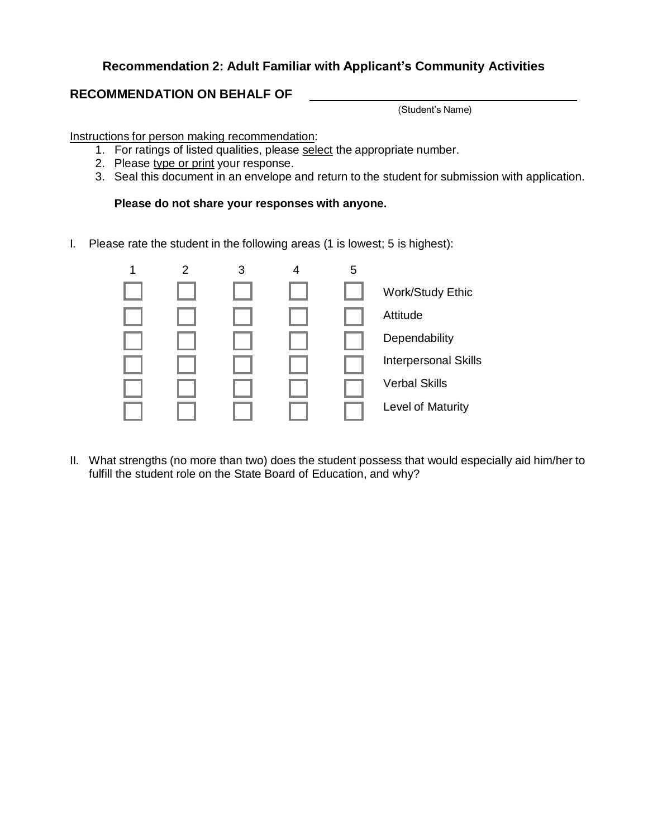### **Recommendation 2: Adult Familiar with Applicant's Community Activities**

### **RECOMMENDATION ON BEHALF OF**

(Student's Name)

Instructions for person making recommendation:

- 1. For ratings of listed qualities, please select the appropriate number.
- 2. Please type or print your response.
- 3. Seal this document in an envelope and return to the student for submission with application.

#### **Please do not share your responses with anyone.**

I. Please rate the student in the following areas (1 is lowest; 5 is highest):



II. What strengths (no more than two) does the student possess that would especially aid him/her to fulfill the student role on the State Board of Education, and why?